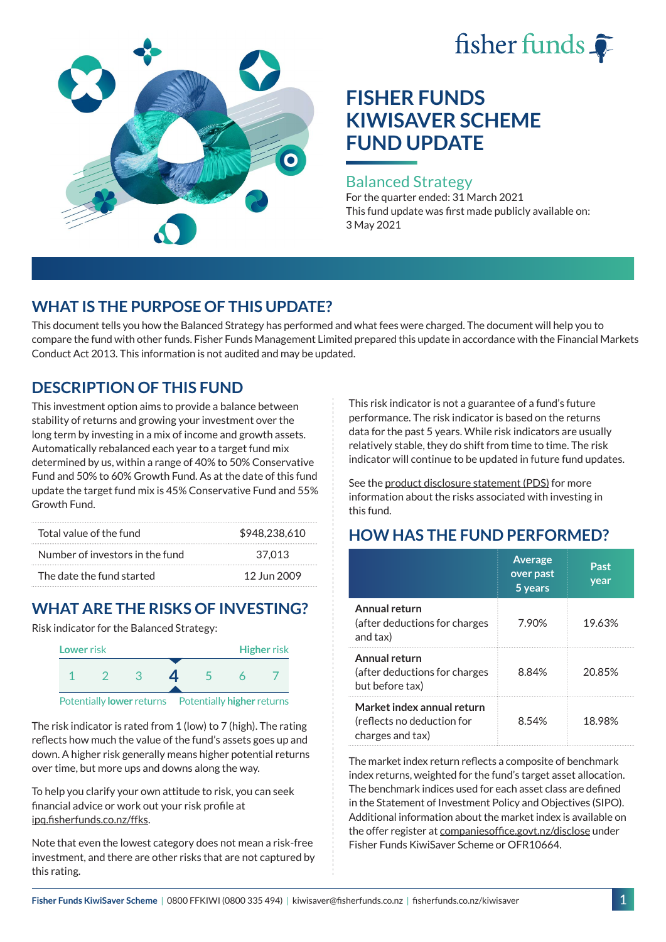# fisher funds



# **FISHER FUNDS KIWISAVER SCHEME FUND UPDATE**

#### Balanced Strategy

For the quarter ended: 31 March 2021 This fund update was first made publicly available on: 3 May 2021

# **WHAT IS THE PURPOSE OF THIS UPDATE?**

This document tells you how the Balanced Strategy has performed and what fees were charged. The document will help you to compare the fund with other funds. Fisher Funds Management Limited prepared this update in accordance with the Financial Markets Conduct Act 2013. This information is not audited and may be updated.

## **DESCRIPTION OF THIS FUND**

This investment option aims to provide a balance between stability of returns and growing your investment over the long term by investing in a mix of income and growth assets. Automatically rebalanced each year to a target fund mix determined by us, within a range of 40% to 50% Conservative Fund and 50% to 60% Growth Fund. As at the date of this fund update the target fund mix is 45% Conservative Fund and 55% Growth Fund.

| Total value of the fund         | \$948,238,610 |
|---------------------------------|---------------|
| Number of investors in the fund | 37.013        |
| The date the fund started       | 12 Jun 2009   |

# **WHAT ARE THE RISKS OF INVESTING?**

Risk indicator for the Balanced Strategy:



The risk indicator is rated from 1 (low) to 7 (high). The rating reflects how much the value of the fund's assets goes up and down. A higher risk generally means higher potential returns over time, but more ups and downs along the way.

To help you clarify your own attitude to risk, you can seek financial advice or work out your risk profile at [ipq.fisherfunds.co.nz/ffks](https://ipq.fisherfunds.co.nz/ffks).

Note that even the lowest category does not mean a risk-free investment, and there are other risks that are not captured by this rating.

This risk indicator is not a guarantee of a fund's future performance. The risk indicator is based on the returns data for the past 5 years. While risk indicators are usually relatively stable, they do shift from time to time. The risk indicator will continue to be updated in future fund updates.

See the [product disclosure statement \(PDS\)](https://fisherfunds.co.nz/assets/PDS/Fisher-Funds-KiwiSaver-Scheme-PDS.pdf) for more information about the risks associated with investing in this fund.

# **HOW HAS THE FUND PERFORMED?**

|                                                                              | <b>Average</b><br>over past<br>5 years | Past<br>year |
|------------------------------------------------------------------------------|----------------------------------------|--------------|
| Annual return<br>(after deductions for charges<br>and tax)                   | 7.90%                                  | 19.63%       |
| Annual return<br>(after deductions for charges<br>but before tax)            | 8.84%                                  | 20.85%       |
| Market index annual return<br>(reflects no deduction for<br>charges and tax) | 8.54%                                  | 18.98%       |

The market index return reflects a composite of benchmark index returns, weighted for the fund's target asset allocation. The benchmark indices used for each asset class are defined in the Statement of Investment Policy and Objectives (SIPO). Additional information about the market index is available on the offer register at [companiesoffice.govt.nz/disclose](http://companiesoffice.govt.nz/disclose) under Fisher Funds KiwiSaver Scheme or OFR10664.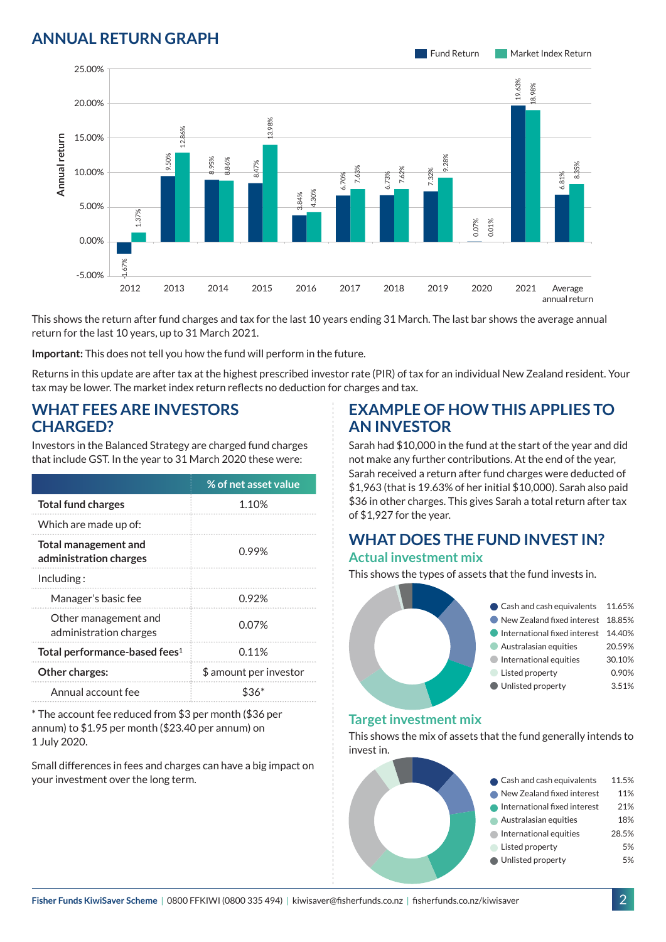### **ANNUAL RETURN GRAPH**



This shows the return after fund charges and tax for the last 10 years ending 31 March. The last bar shows the average annual return for the last 10 years, up to 31 March 2021.

**Important:** This does not tell you how the fund will perform in the future.

Returns in this update are after tax at the highest prescribed investor rate (PIR) of tax for an individual New Zealand resident. Your tax may be lower. The market index return reflects no deduction for charges and tax.

#### **WHAT FEES ARE INVESTORS CHARGED?**

|                                                                | 15.00%                                             |       |             |      |     |                                                                                                                                       |              |
|----------------------------------------------------------------|----------------------------------------------------|-------|-------------|------|-----|---------------------------------------------------------------------------------------------------------------------------------------|--------------|
| Annual return                                                  |                                                    |       | 12.8<br>50% |      |     |                                                                                                                                       |              |
|                                                                | 10.00%                                             |       |             | ,95% | 86% | 8.47%                                                                                                                                 |              |
|                                                                |                                                    |       |             |      |     |                                                                                                                                       | 4.30%<br>84% |
|                                                                | 5.00%                                              | 1.37% |             |      |     |                                                                                                                                       |              |
|                                                                | 0.00%                                              |       |             |      |     |                                                                                                                                       |              |
|                                                                | $-5.00%$                                           | .67%  |             |      |     |                                                                                                                                       |              |
|                                                                |                                                    | 2012  | 2013        | 2014 |     | 2015                                                                                                                                  | 2016         |
|                                                                | return for the last 10 years, up to 31 March 2021. |       |             |      |     | This shows the return after fund charges and tax for the last 10                                                                      |              |
|                                                                |                                                    |       |             |      |     | Important: This does not tell you how the fund will perform in th                                                                     |              |
|                                                                |                                                    |       |             |      |     | Returns in this update are after tax at the highest prescribed inv<br>tax may be lower. The market index return reflects no deductior |              |
|                                                                | <b>WHAT FEES ARE INVESTORS</b><br><b>CHARGED?</b>  |       |             |      |     |                                                                                                                                       |              |
|                                                                |                                                    |       |             |      |     | Investors in the Balanced Strategy are charged fund charges<br>that include GST. In the year to 31 March 2020 these were:             |              |
|                                                                |                                                    |       |             |      |     | % of net asset value                                                                                                                  |              |
|                                                                | <b>Total fund charges</b>                          |       |             |      |     | 1.10%                                                                                                                                 |              |
|                                                                | Which are made up of:                              |       |             |      |     |                                                                                                                                       |              |
| <b>Total management and</b><br>administration charges          |                                                    |       | 0.99%       |      |     |                                                                                                                                       |              |
| Including:                                                     |                                                    |       |             |      |     |                                                                                                                                       |              |
|                                                                | Manager's basic fee                                |       |             |      |     | 0.92%                                                                                                                                 |              |
|                                                                | Other management and<br>administration charges     |       |             |      |     | 0.07%                                                                                                                                 |              |
|                                                                | Total performance-based fees <sup>1</sup>          |       |             |      |     | 0.11%                                                                                                                                 |              |
|                                                                | Other charges:                                     |       |             |      |     | \$ amount per investor                                                                                                                |              |
|                                                                | Annual account fee                                 |       |             |      |     | \$36*                                                                                                                                 |              |
| 1 July 2020.                                                   | annum) to \$1.95 per month (\$23.40 per annum) on  |       |             |      |     | * The account fee reduced from \$3 per month (\$36 per                                                                                |              |
| Small differences in fees and charges can have a big impact on |                                                    |       |             |      |     |                                                                                                                                       |              |

Small differences in fees and charges can have a big impact on

#### **EXAMPLE OF HOW THIS APPLIES TO AN INVESTOR**

Sarah had \$10,000 in the fund at the start of the year and did not make any further contributions. At the end of the year, Sarah received a return after fund charges were deducted of \$1,963 (that is 19.63% of her initial \$10,000). Sarah also paid \$36 in other charges. This gives Sarah a total return after tax of \$1,927 for the year.

# **WHAT DOES THE FUND INVEST IN?**

#### **Actual investment mix**

This shows the types of assets that the fund invests in.

| Cash and cash equivalents 11.65%    |        |
|-------------------------------------|--------|
| New Zealand fixed interest 18.85%   |        |
| International fixed interest 14.40% |        |
| Australasian equities               | 20.59% |
| International equities              | 30.10% |
| Listed property                     | 0.90%  |
| Unlisted property                   | 3.51%  |
|                                     |        |

#### **Target investment mix**

This shows the mix of assets that the fund generally intends to invest in.